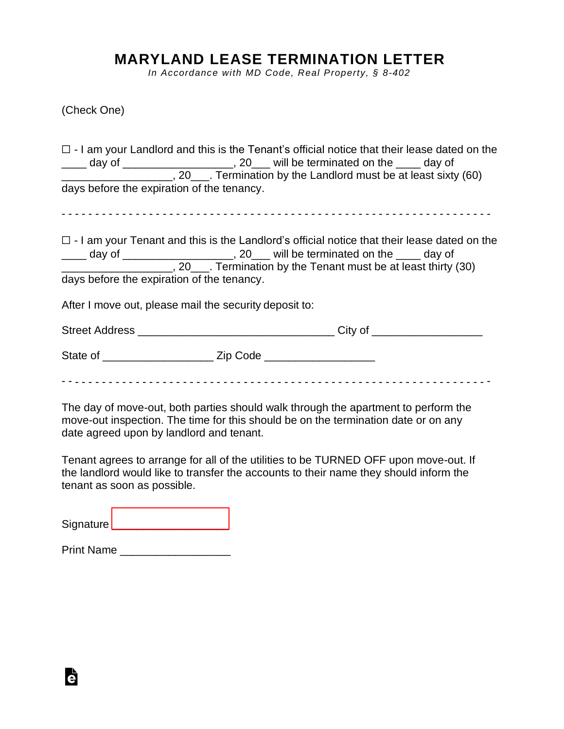## **MARYLAND LEASE TERMINATION LETTER**

*In Accordance with MD Code, Real Property, § 8-402*

(Check One)

|                                                                              | $\Box$ - I am your Landlord and this is the Tenant's official notice that their lease dated on the                                                                          |
|------------------------------------------------------------------------------|-----------------------------------------------------------------------------------------------------------------------------------------------------------------------------|
|                                                                              | day of _________________________, 20____ will be terminated on the _____ day of<br>_______________________, 20____. Termination by the Landlord must be at least sixty (60) |
| days before the expiration of the tenancy.                                   |                                                                                                                                                                             |
|                                                                              |                                                                                                                                                                             |
|                                                                              | $\Box$ - I am your Tenant and this is the Landlord's official notice that their lease dated on the                                                                          |
| day of ________________________, 20___ will be terminated on the ____ day of |                                                                                                                                                                             |
|                                                                              | __________________________, 20____. Termination by the Tenant must be at least thirty (30)                                                                                  |
| days before the expiration of the tenancy.                                   |                                                                                                                                                                             |
| After I move out, please mail the security deposit to:                       |                                                                                                                                                                             |
|                                                                              |                                                                                                                                                                             |
|                                                                              |                                                                                                                                                                             |
|                                                                              |                                                                                                                                                                             |

The day of move-out, both parties should walk through the apartment to perform the move-out inspection. The time for this should be on the termination date or on any date agreed upon by landlord and tenant.

Tenant agrees to arrange for all of the utilities to be TURNED OFF upon move-out. If the landlord would like to transfer the accounts to their name they should inform the tenant as soon as possible.

Signature [\\_\\_\\_\\_\\_\\_\\_\\_\\_\\_\\_\\_\\_\\_\\_\\_\\_\\_\\_](https://esign.com)

Print Name \_\_\_\_\_\_\_\_\_\_\_\_\_\_\_\_\_\_

Ġ